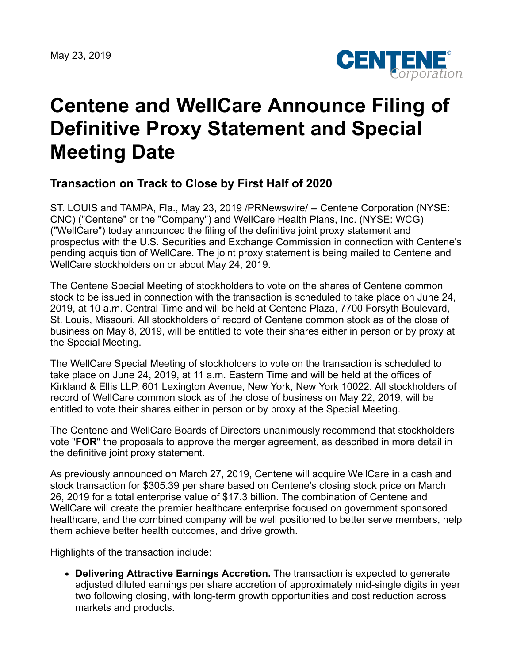

# **Centene and WellCare Announce Filing of Definitive Proxy Statement and Special Meeting Date**

# **Transaction on Track to Close by First Half of 2020**

ST. LOUIS and TAMPA, Fla., May 23, 2019 /PRNewswire/ -- Centene Corporation (NYSE: CNC) ("Centene" or the "Company") and WellCare Health Plans, Inc. (NYSE: WCG) ("WellCare") today announced the filing of the definitive joint proxy statement and prospectus with the U.S. Securities and Exchange Commission in connection with Centene's pending acquisition of WellCare. The joint proxy statement is being mailed to Centene and WellCare stockholders on or about May 24, 2019.

The Centene Special Meeting of stockholders to vote on the shares of Centene common stock to be issued in connection with the transaction is scheduled to take place on June 24, 2019, at 10 a.m. Central Time and will be held at Centene Plaza, 7700 Forsyth Boulevard, St. Louis, Missouri. All stockholders of record of Centene common stock as of the close of business on May 8, 2019, will be entitled to vote their shares either in person or by proxy at the Special Meeting.

The WellCare Special Meeting of stockholders to vote on the transaction is scheduled to take place on June 24, 2019, at 11 a.m. Eastern Time and will be held at the offices of Kirkland & Ellis LLP, 601 Lexington Avenue, New York, New York 10022. All stockholders of record of WellCare common stock as of the close of business on May 22, 2019, will be entitled to vote their shares either in person or by proxy at the Special Meeting.

The Centene and WellCare Boards of Directors unanimously recommend that stockholders vote "**FOR**" the proposals to approve the merger agreement, as described in more detail in the definitive joint proxy statement.

As previously announced on March 27, 2019, Centene will acquire WellCare in a cash and stock transaction for \$305.39 per share based on Centene's closing stock price on March 26, 2019 for a total enterprise value of \$17.3 billion. The combination of Centene and WellCare will create the premier healthcare enterprise focused on government sponsored healthcare, and the combined company will be well positioned to better serve members, help them achieve better health outcomes, and drive growth.

Highlights of the transaction include:

**Delivering Attractive Earnings Accretion.** The transaction is expected to generate adjusted diluted earnings per share accretion of approximately mid-single digits in year two following closing, with long-term growth opportunities and cost reduction across markets and products.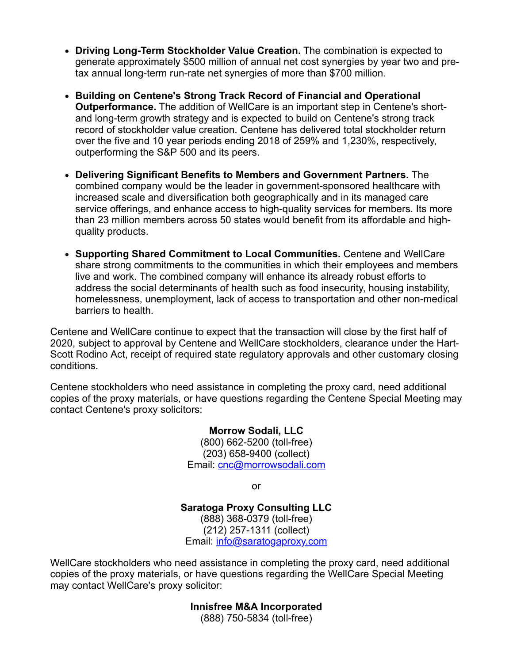- **Driving Long-Term Stockholder Value Creation.** The combination is expected to generate approximately \$500 million of annual net cost synergies by year two and pretax annual long-term run-rate net synergies of more than \$700 million.
- **Building on Centene's Strong Track Record of Financial and Operational Outperformance.** The addition of WellCare is an important step in Centene's shortand long-term growth strategy and is expected to build on Centene's strong track record of stockholder value creation. Centene has delivered total stockholder return over the five and 10 year periods ending 2018 of 259% and 1,230%, respectively, outperforming the S&P 500 and its peers.
- **Delivering Significant Benefits to Members and Government Partners.** The combined company would be the leader in government-sponsored healthcare with increased scale and diversification both geographically and in its managed care service offerings, and enhance access to high-quality services for members. Its more than 23 million members across 50 states would benefit from its affordable and highquality products.
- **Supporting Shared Commitment to Local Communities.** Centene and WellCare share strong commitments to the communities in which their employees and members live and work. The combined company will enhance its already robust efforts to address the social determinants of health such as food insecurity, housing instability, homelessness, unemployment, lack of access to transportation and other non-medical barriers to health.

Centene and WellCare continue to expect that the transaction will close by the first half of 2020, subject to approval by Centene and WellCare stockholders, clearance under the Hart-Scott Rodino Act, receipt of required state regulatory approvals and other customary closing conditions.

Centene stockholders who need assistance in completing the proxy card, need additional copies of the proxy materials, or have questions regarding the Centene Special Meeting may contact Centene's proxy solicitors:

> **Morrow Sodali, LLC** (800) 662-5200 (toll-free) (203) 658-9400 (collect) Email: [cnc@morrowsodali.com](mailto:cnc@morrowsodali.com)

> > or

**Saratoga Proxy Consulting LLC** (888) 368-0379 (toll-free) (212) 257-1311 (collect) Email: *[info@saratogaproxy.com](mailto:info@saratogaproxy.com)* 

WellCare stockholders who need assistance in completing the proxy card, need additional copies of the proxy materials, or have questions regarding the WellCare Special Meeting may contact WellCare's proxy solicitor:

> **Innisfree M&A Incorporated** (888) 750-5834 (toll-free)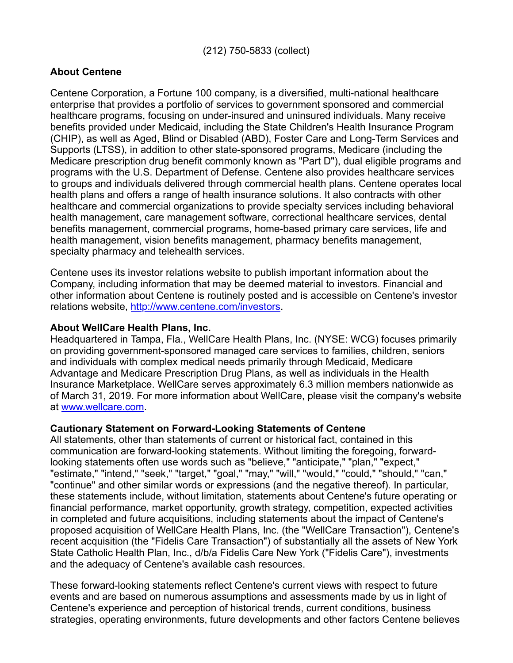## **About Centene**

Centene Corporation, a Fortune 100 company, is a diversified, multi-national healthcare enterprise that provides a portfolio of services to government sponsored and commercial healthcare programs, focusing on under-insured and uninsured individuals. Many receive benefits provided under Medicaid, including the State Children's Health Insurance Program (CHIP), as well as Aged, Blind or Disabled (ABD), Foster Care and Long-Term Services and Supports (LTSS), in addition to other state-sponsored programs, Medicare (including the Medicare prescription drug benefit commonly known as "Part D"), dual eligible programs and programs with the U.S. Department of Defense. Centene also provides healthcare services to groups and individuals delivered through commercial health plans. Centene operates local health plans and offers a range of health insurance solutions. It also contracts with other healthcare and commercial organizations to provide specialty services including behavioral health management, care management software, correctional healthcare services, dental benefits management, commercial programs, home-based primary care services, life and health management, vision benefits management, pharmacy benefits management, specialty pharmacy and telehealth services.

Centene uses its investor relations website to publish important information about the Company, including information that may be deemed material to investors. Financial and other information about Centene is routinely posted and is accessible on Centene's investor relations website, <http://www.centene.com/investors>.

### **About WellCare Health Plans, Inc.**

Headquartered in Tampa, Fla., WellCare Health Plans, Inc. (NYSE: WCG) focuses primarily on providing government-sponsored managed care services to families, children, seniors and individuals with complex medical needs primarily through Medicaid, Medicare Advantage and Medicare Prescription Drug Plans, as well as individuals in the Health Insurance Marketplace. WellCare serves approximately 6.3 million members nationwide as of March 31, 2019. For more information about WellCare, please visit the company's website at [www.wellcare.com](https://urldefense.proofpoint.com/v2/url?u=https-3A__c212.net_c_link_-3Ft-3D0-26l-3Den-26o-3D2449854-2D1-26h-3D3451567915-26u-3Dhttps-253A-252F-252Fwww.wellcare.com-252F-26a-3Dwww.wellcare.com&d=DwMFAg&c=d4QUMdAn6M0Mbv3jzCCgJ4TWUi-bKfYzDU5LNH0X26s&r=MqvMsYJM5xQM3FHdL4OWLol_b7_h0AyiaVwwfR0Ql04&m=BxZ_bHJY7q_JLJ442Hi5Ty5GgMvEAxJhDnGrxOdqOGw&s=CnC5cOGVo2Z7XV8nq9f3VWqm6bkkHgs3H_x0LeUu-3c&e=).

#### **Cautionary Statement on Forward-Looking Statements of Centene**

All statements, other than statements of current or historical fact, contained in this communication are forward-looking statements. Without limiting the foregoing, forwardlooking statements often use words such as "believe," "anticipate," "plan," "expect," "estimate," "intend," "seek," "target," "goal," "may," "will," "would," "could," "should," "can," "continue" and other similar words or expressions (and the negative thereof). In particular, these statements include, without limitation, statements about Centene's future operating or financial performance, market opportunity, growth strategy, competition, expected activities in completed and future acquisitions, including statements about the impact of Centene's proposed acquisition of WellCare Health Plans, Inc. (the "WellCare Transaction"), Centene's recent acquisition (the "Fidelis Care Transaction") of substantially all the assets of New York State Catholic Health Plan, Inc., d/b/a Fidelis Care New York ("Fidelis Care"), investments and the adequacy of Centene's available cash resources.

These forward-looking statements reflect Centene's current views with respect to future events and are based on numerous assumptions and assessments made by us in light of Centene's experience and perception of historical trends, current conditions, business strategies, operating environments, future developments and other factors Centene believes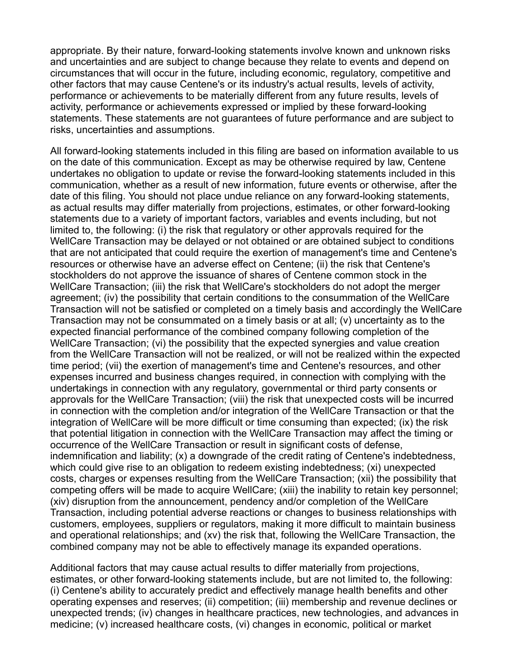appropriate. By their nature, forward-looking statements involve known and unknown risks and uncertainties and are subject to change because they relate to events and depend on circumstances that will occur in the future, including economic, regulatory, competitive and other factors that may cause Centene's or its industry's actual results, levels of activity, performance or achievements to be materially different from any future results, levels of activity, performance or achievements expressed or implied by these forward-looking statements. These statements are not guarantees of future performance and are subject to risks, uncertainties and assumptions.

All forward-looking statements included in this filing are based on information available to us on the date of this communication. Except as may be otherwise required by law, Centene undertakes no obligation to update or revise the forward-looking statements included in this communication, whether as a result of new information, future events or otherwise, after the date of this filing. You should not place undue reliance on any forward-looking statements, as actual results may differ materially from projections, estimates, or other forward-looking statements due to a variety of important factors, variables and events including, but not limited to, the following: (i) the risk that regulatory or other approvals required for the WellCare Transaction may be delayed or not obtained or are obtained subject to conditions that are not anticipated that could require the exertion of management's time and Centene's resources or otherwise have an adverse effect on Centene; (ii) the risk that Centene's stockholders do not approve the issuance of shares of Centene common stock in the WellCare Transaction; (iii) the risk that WellCare's stockholders do not adopt the merger agreement; (iv) the possibility that certain conditions to the consummation of the WellCare Transaction will not be satisfied or completed on a timely basis and accordingly the WellCare Transaction may not be consummated on a timely basis or at all; (v) uncertainty as to the expected financial performance of the combined company following completion of the WellCare Transaction; (vi) the possibility that the expected synergies and value creation from the WellCare Transaction will not be realized, or will not be realized within the expected time period; (vii) the exertion of management's time and Centene's resources, and other expenses incurred and business changes required, in connection with complying with the undertakings in connection with any regulatory, governmental or third party consents or approvals for the WellCare Transaction; (viii) the risk that unexpected costs will be incurred in connection with the completion and/or integration of the WellCare Transaction or that the integration of WellCare will be more difficult or time consuming than expected; (ix) the risk that potential litigation in connection with the WellCare Transaction may affect the timing or occurrence of the WellCare Transaction or result in significant costs of defense, indemnification and liability; (x) a downgrade of the credit rating of Centene's indebtedness, which could give rise to an obligation to redeem existing indebtedness; (xi) unexpected costs, charges or expenses resulting from the WellCare Transaction; (xii) the possibility that competing offers will be made to acquire WellCare; (xiii) the inability to retain key personnel; (xiv) disruption from the announcement, pendency and/or completion of the WellCare Transaction, including potential adverse reactions or changes to business relationships with customers, employees, suppliers or regulators, making it more difficult to maintain business and operational relationships; and (xv) the risk that, following the WellCare Transaction, the combined company may not be able to effectively manage its expanded operations.

Additional factors that may cause actual results to differ materially from projections, estimates, or other forward-looking statements include, but are not limited to, the following: (i) Centene's ability to accurately predict and effectively manage health benefits and other operating expenses and reserves; (ii) competition; (iii) membership and revenue declines or unexpected trends; (iv) changes in healthcare practices, new technologies, and advances in medicine; (v) increased healthcare costs, (vi) changes in economic, political or market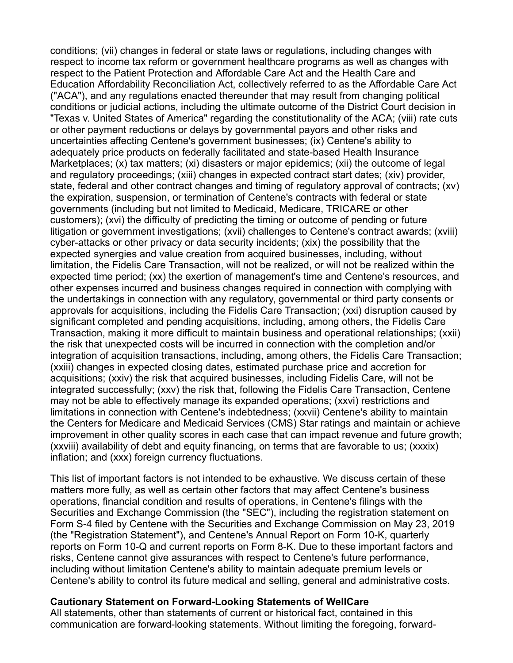conditions; (vii) changes in federal or state laws or regulations, including changes with respect to income tax reform or government healthcare programs as well as changes with respect to the Patient Protection and Affordable Care Act and the Health Care and Education Affordability Reconciliation Act, collectively referred to as the Affordable Care Act ("ACA"), and any regulations enacted thereunder that may result from changing political conditions or judicial actions, including the ultimate outcome of the District Court decision in "Texas v. United States of America" regarding the constitutionality of the ACA; (viii) rate cuts or other payment reductions or delays by governmental payors and other risks and uncertainties affecting Centene's government businesses; (ix) Centene's ability to adequately price products on federally facilitated and state-based Health Insurance Marketplaces; (x) tax matters; (xi) disasters or major epidemics; (xii) the outcome of legal and regulatory proceedings; (xiii) changes in expected contract start dates; (xiv) provider, state, federal and other contract changes and timing of regulatory approval of contracts; (xv) the expiration, suspension, or termination of Centene's contracts with federal or state governments (including but not limited to Medicaid, Medicare, TRICARE or other customers); (xvi) the difficulty of predicting the timing or outcome of pending or future litigation or government investigations; (xvii) challenges to Centene's contract awards; (xviii) cyber-attacks or other privacy or data security incidents; (xix) the possibility that the expected synergies and value creation from acquired businesses, including, without limitation, the Fidelis Care Transaction, will not be realized, or will not be realized within the expected time period; (xx) the exertion of management's time and Centene's resources, and other expenses incurred and business changes required in connection with complying with the undertakings in connection with any regulatory, governmental or third party consents or approvals for acquisitions, including the Fidelis Care Transaction; (xxi) disruption caused by significant completed and pending acquisitions, including, among others, the Fidelis Care Transaction, making it more difficult to maintain business and operational relationships; (xxii) the risk that unexpected costs will be incurred in connection with the completion and/or integration of acquisition transactions, including, among others, the Fidelis Care Transaction; (xxiii) changes in expected closing dates, estimated purchase price and accretion for acquisitions; (xxiv) the risk that acquired businesses, including Fidelis Care, will not be integrated successfully; (xxv) the risk that, following the Fidelis Care Transaction, Centene may not be able to effectively manage its expanded operations; (xxvi) restrictions and limitations in connection with Centene's indebtedness; (xxvii) Centene's ability to maintain the Centers for Medicare and Medicaid Services (CMS) Star ratings and maintain or achieve improvement in other quality scores in each case that can impact revenue and future growth; (xxviii) availability of debt and equity financing, on terms that are favorable to us; (xxxix) inflation; and (xxx) foreign currency fluctuations.

This list of important factors is not intended to be exhaustive. We discuss certain of these matters more fully, as well as certain other factors that may affect Centene's business operations, financial condition and results of operations, in Centene's filings with the Securities and Exchange Commission (the "SEC"), including the registration statement on Form S-4 filed by Centene with the Securities and Exchange Commission on May 23, 2019 (the "Registration Statement"), and Centene's Annual Report on Form 10-K, quarterly reports on Form 10-Q and current reports on Form 8-K. Due to these important factors and risks, Centene cannot give assurances with respect to Centene's future performance, including without limitation Centene's ability to maintain adequate premium levels or Centene's ability to control its future medical and selling, general and administrative costs.

#### **Cautionary Statement on Forward-Looking Statements of WellCare**

All statements, other than statements of current or historical fact, contained in this communication are forward-looking statements. Without limiting the foregoing, forward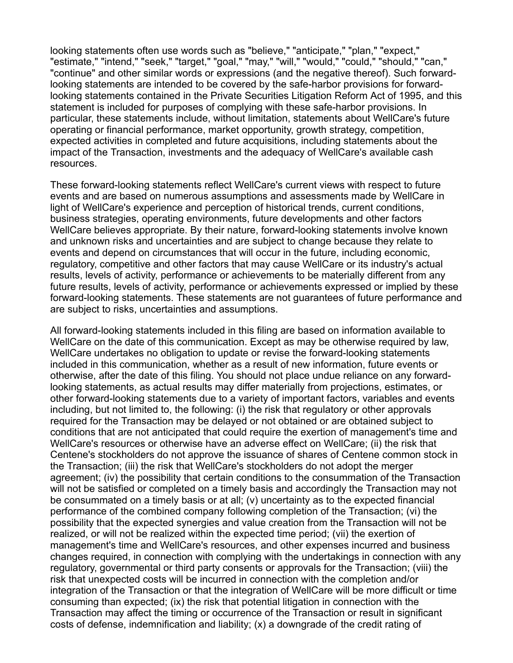looking statements often use words such as "believe," "anticipate," "plan," "expect," "estimate," "intend," "seek," "target," "goal," "may," "will," "would," "could," "should," "can," "continue" and other similar words or expressions (and the negative thereof). Such forwardlooking statements are intended to be covered by the safe-harbor provisions for forwardlooking statements contained in the Private Securities Litigation Reform Act of 1995, and this statement is included for purposes of complying with these safe-harbor provisions. In particular, these statements include, without limitation, statements about WellCare's future operating or financial performance, market opportunity, growth strategy, competition, expected activities in completed and future acquisitions, including statements about the impact of the Transaction, investments and the adequacy of WellCare's available cash resources.

These forward-looking statements reflect WellCare's current views with respect to future events and are based on numerous assumptions and assessments made by WellCare in light of WellCare's experience and perception of historical trends, current conditions, business strategies, operating environments, future developments and other factors WellCare believes appropriate. By their nature, forward-looking statements involve known and unknown risks and uncertainties and are subject to change because they relate to events and depend on circumstances that will occur in the future, including economic, regulatory, competitive and other factors that may cause WellCare or its industry's actual results, levels of activity, performance or achievements to be materially different from any future results, levels of activity, performance or achievements expressed or implied by these forward-looking statements. These statements are not guarantees of future performance and are subject to risks, uncertainties and assumptions.

All forward-looking statements included in this filing are based on information available to WellCare on the date of this communication. Except as may be otherwise required by law. WellCare undertakes no obligation to update or revise the forward-looking statements included in this communication, whether as a result of new information, future events or otherwise, after the date of this filing. You should not place undue reliance on any forwardlooking statements, as actual results may differ materially from projections, estimates, or other forward-looking statements due to a variety of important factors, variables and events including, but not limited to, the following: (i) the risk that regulatory or other approvals required for the Transaction may be delayed or not obtained or are obtained subject to conditions that are not anticipated that could require the exertion of management's time and WellCare's resources or otherwise have an adverse effect on WellCare; (ii) the risk that Centene's stockholders do not approve the issuance of shares of Centene common stock in the Transaction; (iii) the risk that WellCare's stockholders do not adopt the merger agreement; (iv) the possibility that certain conditions to the consummation of the Transaction will not be satisfied or completed on a timely basis and accordingly the Transaction may not be consummated on a timely basis or at all; (v) uncertainty as to the expected financial performance of the combined company following completion of the Transaction; (vi) the possibility that the expected synergies and value creation from the Transaction will not be realized, or will not be realized within the expected time period; (vii) the exertion of management's time and WellCare's resources, and other expenses incurred and business changes required, in connection with complying with the undertakings in connection with any regulatory, governmental or third party consents or approvals for the Transaction; (viii) the risk that unexpected costs will be incurred in connection with the completion and/or integration of the Transaction or that the integration of WellCare will be more difficult or time consuming than expected; (ix) the risk that potential litigation in connection with the Transaction may affect the timing or occurrence of the Transaction or result in significant costs of defense, indemnification and liability; (x) a downgrade of the credit rating of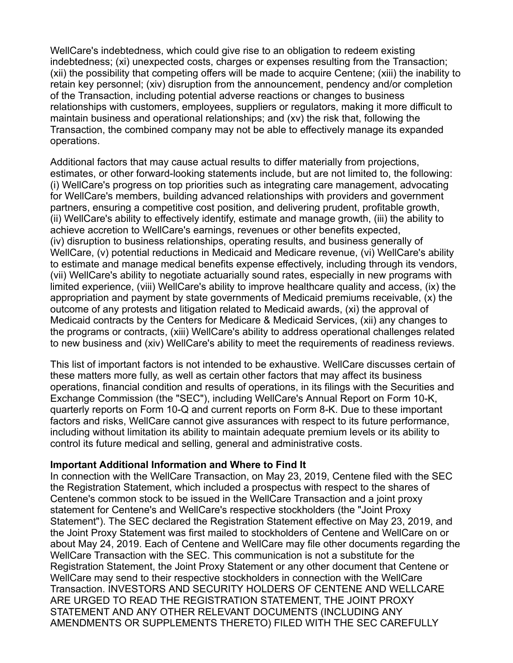WellCare's indebtedness, which could give rise to an obligation to redeem existing indebtedness; (xi) unexpected costs, charges or expenses resulting from the Transaction; (xii) the possibility that competing offers will be made to acquire Centene; (xiii) the inability to retain key personnel; (xiv) disruption from the announcement, pendency and/or completion of the Transaction, including potential adverse reactions or changes to business relationships with customers, employees, suppliers or regulators, making it more difficult to maintain business and operational relationships; and (xv) the risk that, following the Transaction, the combined company may not be able to effectively manage its expanded operations.

Additional factors that may cause actual results to differ materially from projections, estimates, or other forward-looking statements include, but are not limited to, the following: (i) WellCare's progress on top priorities such as integrating care management, advocating for WellCare's members, building advanced relationships with providers and government partners, ensuring a competitive cost position, and delivering prudent, profitable growth, (ii) WellCare's ability to effectively identify, estimate and manage growth, (iii) the ability to achieve accretion to WellCare's earnings, revenues or other benefits expected, (iv) disruption to business relationships, operating results, and business generally of WellCare, (v) potential reductions in Medicaid and Medicare revenue, (vi) WellCare's ability to estimate and manage medical benefits expense effectively, including through its vendors, (vii) WellCare's ability to negotiate actuarially sound rates, especially in new programs with limited experience, (viii) WellCare's ability to improve healthcare quality and access, (ix) the appropriation and payment by state governments of Medicaid premiums receivable, (x) the outcome of any protests and litigation related to Medicaid awards, (xi) the approval of Medicaid contracts by the Centers for Medicare & Medicaid Services, (xii) any changes to the programs or contracts, (xiii) WellCare's ability to address operational challenges related to new business and (xiv) WellCare's ability to meet the requirements of readiness reviews.

This list of important factors is not intended to be exhaustive. WellCare discusses certain of these matters more fully, as well as certain other factors that may affect its business operations, financial condition and results of operations, in its filings with the Securities and Exchange Commission (the "SEC"), including WellCare's Annual Report on Form 10-K, quarterly reports on Form 10-Q and current reports on Form 8-K. Due to these important factors and risks, WellCare cannot give assurances with respect to its future performance, including without limitation its ability to maintain adequate premium levels or its ability to control its future medical and selling, general and administrative costs.

#### **Important Additional Information and Where to Find It**

In connection with the WellCare Transaction, on May 23, 2019, Centene filed with the SEC the Registration Statement, which included a prospectus with respect to the shares of Centene's common stock to be issued in the WellCare Transaction and a joint proxy statement for Centene's and WellCare's respective stockholders (the "Joint Proxy Statement"). The SEC declared the Registration Statement effective on May 23, 2019, and the Joint Proxy Statement was first mailed to stockholders of Centene and WellCare on or about May 24, 2019. Each of Centene and WellCare may file other documents regarding the WellCare Transaction with the SEC. This communication is not a substitute for the Registration Statement, the Joint Proxy Statement or any other document that Centene or WellCare may send to their respective stockholders in connection with the WellCare Transaction. INVESTORS AND SECURITY HOLDERS OF CENTENE AND WELLCARE ARE URGED TO READ THE REGISTRATION STATEMENT, THE JOINT PROXY STATEMENT AND ANY OTHER RELEVANT DOCUMENTS (INCLUDING ANY AMENDMENTS OR SUPPLEMENTS THERETO) FILED WITH THE SEC CAREFULLY